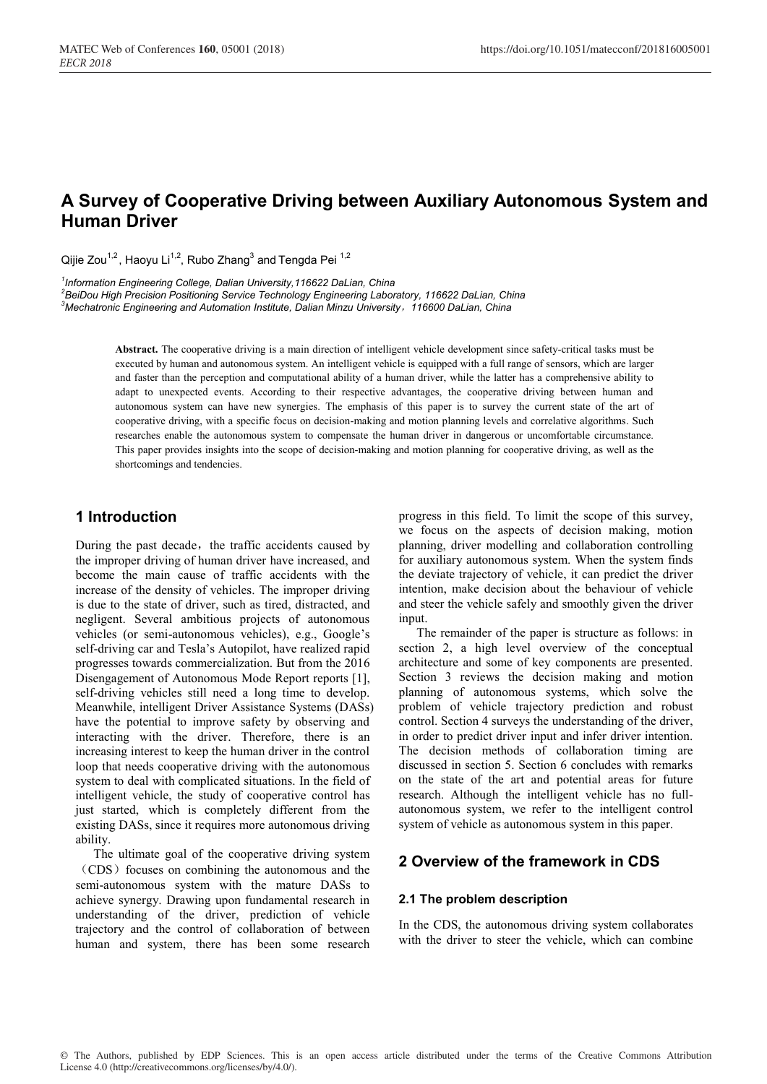# **A Survey of Cooperative Driving between Auxiliary Autonomous System and Human Driver**

Qijie Zou<sup>1,2</sup>, Haoyu Li<sup>1,2</sup>, Rubo Zhang<sup>3</sup> and Tengda Pei<sup>1,2</sup>

*1 Information Engineering College, Dalian University,116622 DaLian, China <sup>2</sup> BeiDou High Precision Positioning Service Technology Engineering Laboratory, 116622 DaLian, China 3 Mechatronic Engineering and Automation Institute, Dalian Minzu University*,*116600 DaLian, China*

> **Abstract.** The cooperative driving is a main direction of intelligent vehicle development since safety-critical tasks must be executed by human and autonomous system. An intelligent vehicle is equipped with a full range of sensors, which are larger and faster than the perception and computational ability of a human driver, while the latter has a comprehensive ability to adapt to unexpected events. According to their respective advantages, the cooperative driving between human and autonomous system can have new synergies. The emphasis of this paper is to survey the current state of the art of cooperative driving, with a specific focus on decision-making and motion planning levels and correlative algorithms. Such researches enable the autonomous system to compensate the human driver in dangerous or uncomfortable circumstance. This paper provides insights into the scope of decision-making and motion planning for cooperative driving, as well as the shortcomings and tendencies.

## **1 Introduction**

During the past decade, the traffic accidents caused by the improper driving of human driver have increased, and become the main cause of traffic accidents with the increase of the density of vehicles. The improper driving is due to the state of driver, such as tired, distracted, and negligent. Several ambitious projects of autonomous vehicles (or semi-autonomous vehicles), e.g., Google's self-driving car and Tesla's Autopilot, have realized rapid progresses towards commercialization. But from the 2016 Disengagement of Autonomous Mode Report reports [1], self-driving vehicles still need a long time to develop. Meanwhile, intelligent Driver Assistance Systems (DASs) have the potential to improve safety by observing and interacting with the driver. Therefore, there is an increasing interest to keep the human driver in the control loop that needs cooperative driving with the autonomous system to deal with complicated situations. In the field of intelligent vehicle, the study of cooperative control has just started, which is completely different from the existing DASs, since it requires more autonomous driving ability.

The ultimate goal of the cooperative driving system  $(CDS)$  focuses on combining the autonomous and the semi-autonomous system with the mature DASs to achieve synergy. Drawing upon fundamental research in understanding of the driver, prediction of vehicle trajectory and the control of collaboration of between human and system, there has been some research progress in this field. To limit the scope of this survey, we focus on the aspects of decision making, motion planning, driver modelling and collaboration controlling for auxiliary autonomous system. When the system finds the deviate trajectory of vehicle, it can predict the driver intention, make decision about the behaviour of vehicle and steer the vehicle safely and smoothly given the driver input.

The remainder of the paper is structure as follows: in section 2, a high level overview of the conceptual architecture and some of key components are presented. Section 3 reviews the decision making and motion planning of autonomous systems, which solve the problem of vehicle trajectory prediction and robust control. Section 4 surveys the understanding of the driver, in order to predict driver input and infer driver intention. The decision methods of collaboration timing are discussed in section 5. Section 6 concludes with remarks on the state of the art and potential areas for future research. Although the intelligent vehicle has no fullautonomous system, we refer to the intelligent control system of vehicle as autonomous system in this paper.

## **2 Overview of the framework in CDS**

### **2.1 The problem description**

In the CDS, the autonomous driving system collaborates with the driver to steer the vehicle, which can combine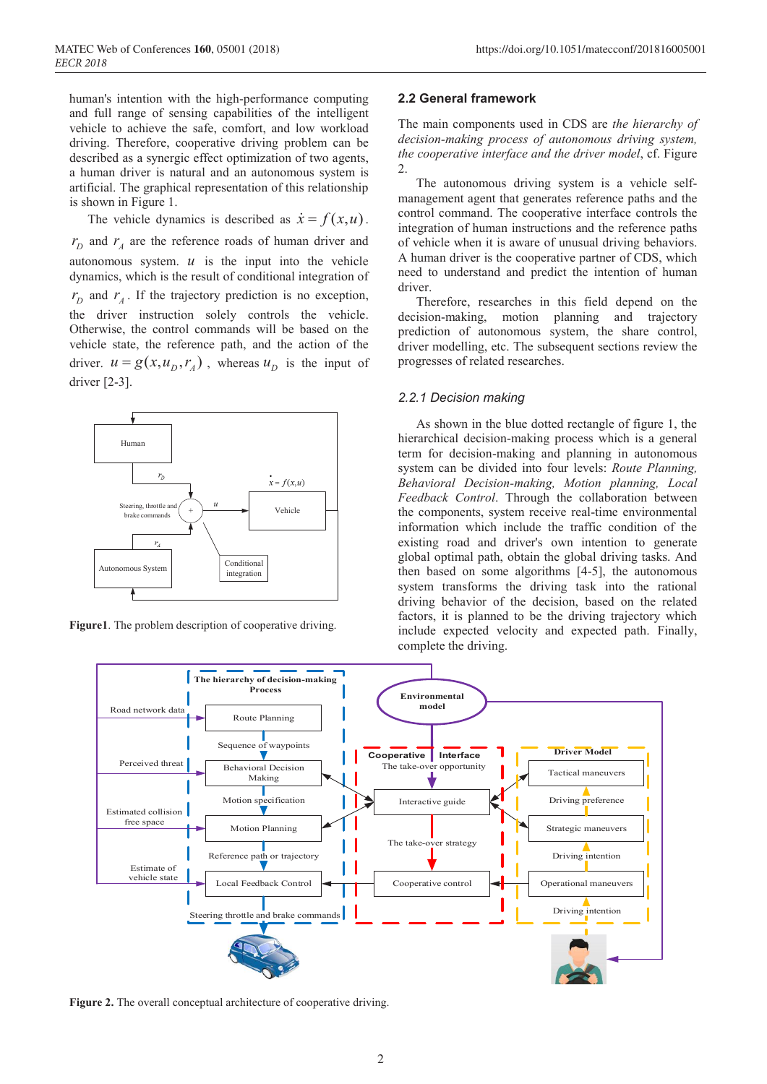human's intention with the high-performance computing and full range of sensing capabilities of the intelligent vehicle to achieve the safe, comfort, and low workload driving. Therefore, cooperative driving problem can be described as a synergic effect optimization of two agents, a human driver is natural and an autonomous system is artificial. The graphical representation of this relationship is shown in Figure 1.

The vehicle dynamics is described as  $\dot{x} = f(x, u)$ .

 $P_D$  and  $P_A$  are the reference roads of human driver and autonomous system.  $u$  is the input into the vehicle dynamics, which is the result of conditional integration of  $r<sub>p</sub>$  and  $r<sub>A</sub>$ . If the trajectory prediction is no exception, the driver instruction solely controls the vehicle. Otherwise, the control commands will be based on the vehicle state, the reference path, and the action of the driver.  $u = g(x, u<sub>D</sub>, r<sub>4</sub>)$ , whereas  $u<sub>D</sub>$  is the input of driver [2-3].



**Figure1**. The problem description of cooperative driving.

#### **2.2 General framework**

The main components used in CDS are *the hierarchy of decision-making process of autonomous driving system, the cooperative interface and the driver model*, cf. Figure  $\mathcal{D}$ 

The autonomous driving system is a vehicle selfmanagement agent that generates reference paths and the control command. The cooperative interface controls the integration of human instructions and the reference paths of vehicle when it is aware of unusual driving behaviors. A human driver is the cooperative partner of CDS, which need to understand and predict the intention of human driver.

Therefore, researches in this field depend on the decision-making, motion planning and trajectory prediction of autonomous system, the share control, driver modelling, etc. The subsequent sections review the progresses of related researches.

#### *2.2.1 Decision making*

As shown in the blue dotted rectangle of figure 1, the hierarchical decision-making process which is a general term for decision-making and planning in autonomous system can be divided into four levels: *Route Planning, Behavioral Decision-making, Motion planning, Local Feedback Control*. Through the collaboration between the components, system receive real-time environmental information which include the traffic condition of the existing road and driver's own intention to generate global optimal path, obtain the global driving tasks. And then based on some algorithms [4-5], the autonomous system transforms the driving task into the rational driving behavior of the decision, based on the related factors, it is planned to be the driving trajectory which include expected velocity and expected path. Finally, complete the driving.



**Figure 2.** The overall conceptual architecture of cooperative driving.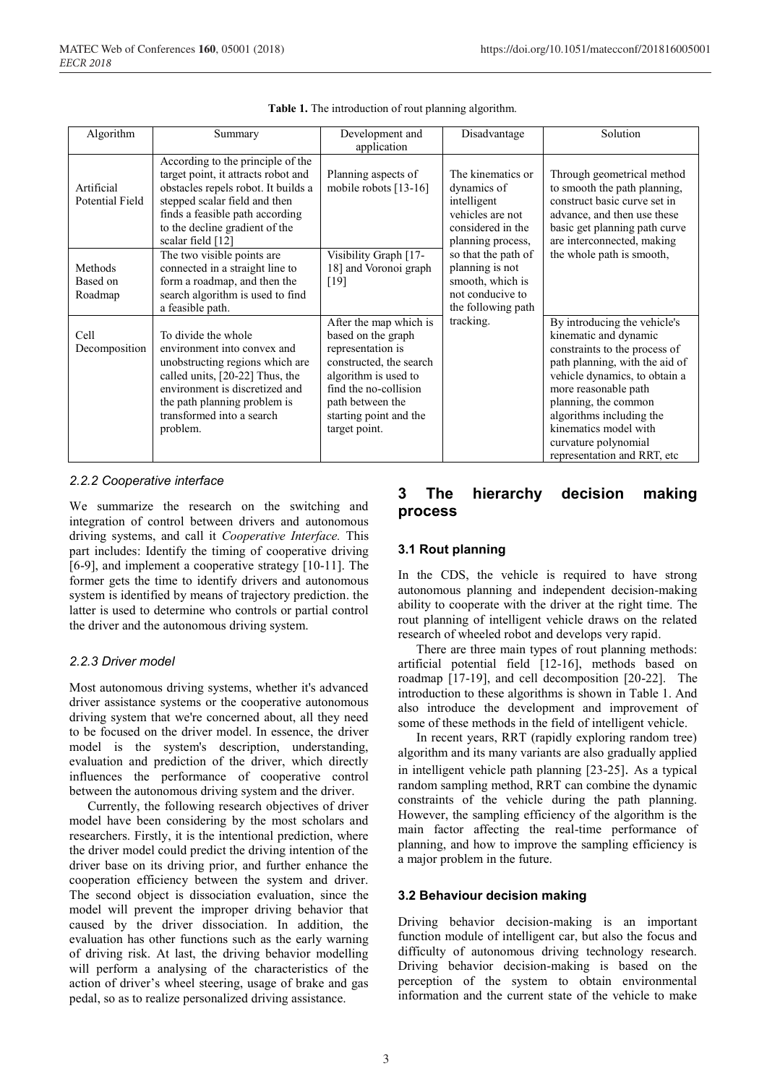| Algorithm                      | Summary                                                                                                                                                                                                                                    | Development and<br>application                                                                                                                                                                               | Disadvantage                                                                                                  | Solution                                                                                                                                                                                                                                                                                                              |  |
|--------------------------------|--------------------------------------------------------------------------------------------------------------------------------------------------------------------------------------------------------------------------------------------|--------------------------------------------------------------------------------------------------------------------------------------------------------------------------------------------------------------|---------------------------------------------------------------------------------------------------------------|-----------------------------------------------------------------------------------------------------------------------------------------------------------------------------------------------------------------------------------------------------------------------------------------------------------------------|--|
| Artificial<br>Potential Field  | According to the principle of the<br>target point, it attracts robot and<br>obstacles repels robot. It builds a<br>stepped scalar field and then<br>finds a feasible path according<br>to the decline gradient of the<br>scalar field [12] | Planning aspects of<br>mobile robots [13-16]                                                                                                                                                                 | The kinematics or<br>dynamics of<br>intelligent<br>vehicles are not<br>considered in the<br>planning process, | Through geometrical method<br>to smooth the path planning,<br>construct basic curve set in<br>advance, and then use these<br>basic get planning path curve<br>are interconnected, making                                                                                                                              |  |
| Methods<br>Based on<br>Roadmap | The two visible points are<br>connected in a straight line to<br>form a roadmap, and then the<br>search algorithm is used to find<br>a feasible path.                                                                                      | Visibility Graph [17-<br>18] and Voronoi graph<br>$[19]$                                                                                                                                                     | so that the path of<br>planning is not<br>smooth, which is<br>not conducive to<br>the following path          | the whole path is smooth,                                                                                                                                                                                                                                                                                             |  |
| Cell<br>Decomposition          | To divide the whole<br>environment into convex and<br>unobstructing regions which are<br>called units, [20-22] Thus, the<br>environment is discretized and<br>the path planning problem is<br>transformed into a search<br>problem.        | After the map which is<br>based on the graph<br>representation is<br>constructed, the search<br>algorithm is used to<br>find the no-collision<br>path between the<br>starting point and the<br>target point. | tracking.                                                                                                     | By introducing the vehicle's<br>kinematic and dynamic<br>constraints to the process of<br>path planning, with the aid of<br>vehicle dynamics, to obtain a<br>more reasonable path<br>planning, the common<br>algorithms including the<br>kinematics model with<br>curvature polynomial<br>representation and RRT, etc |  |

|  | Table 1. The introduction of rout planning algorithm. |  |  |
|--|-------------------------------------------------------|--|--|
|  |                                                       |  |  |

## *2.2.2 Cooperative interface*

We summarize the research on the switching and integration of control between drivers and autonomous driving systems, and call it *Cooperative Interface.* This part includes: Identify the timing of cooperative driving [6-9], and implement a cooperative strategy [10-11]. The former gets the time to identify drivers and autonomous system is identified by means of trajectory prediction. the latter is used to determine who controls or partial control the driver and the autonomous driving system.

## *2.2.3 Driver model*

Most autonomous driving systems, whether it's advanced driver assistance systems or the cooperative autonomous driving system that we're concerned about, all they need to be focused on the driver model. In essence, the driver model is the system's description, understanding, evaluation and prediction of the driver, which directly influences the performance of cooperative control between the autonomous driving system and the driver.

Currently, the following research objectives of driver model have been considering by the most scholars and researchers. Firstly, it is the intentional prediction, where the driver model could predict the driving intention of the driver base on its driving prior, and further enhance the cooperation efficiency between the system and driver. The second object is dissociation evaluation, since the model will prevent the improper driving behavior that caused by the driver dissociation. In addition, the evaluation has other functions such as the early warning of driving risk. At last, the driving behavior modelling will perform a analysing of the characteristics of the action of driver's wheel steering, usage of brake and gas pedal, so as to realize personalized driving assistance.

## **3 The hierarchy decision making process**

### **3.1 Rout planning**

In the CDS, the vehicle is required to have strong autonomous planning and independent decision-making ability to cooperate with the driver at the right time. The rout planning of intelligent vehicle draws on the related research of wheeled robot and develops very rapid.

There are three main types of rout planning methods: artificial potential field [12-16], methods based on roadmap [17-19], and cell decomposition [20-22]. The introduction to these algorithms is shown in Table 1. And also introduce the development and improvement of some of these methods in the field of intelligent vehicle.

In recent years, RRT (rapidly exploring random tree) algorithm and its many variants are also gradually applied in intelligent vehicle path planning [23-25]. As a typical random sampling method, RRT can combine the dynamic constraints of the vehicle during the path planning. However, the sampling efficiency of the algorithm is the main factor affecting the real-time performance of planning, and how to improve the sampling efficiency is a major problem in the future.

### **3.2 Behaviour decision making**

Driving behavior decision-making is an important function module of intelligent car, but also the focus and difficulty of autonomous driving technology research. Driving behavior decision-making is based on the perception of the system to obtain environmental information and the current state of the vehicle to make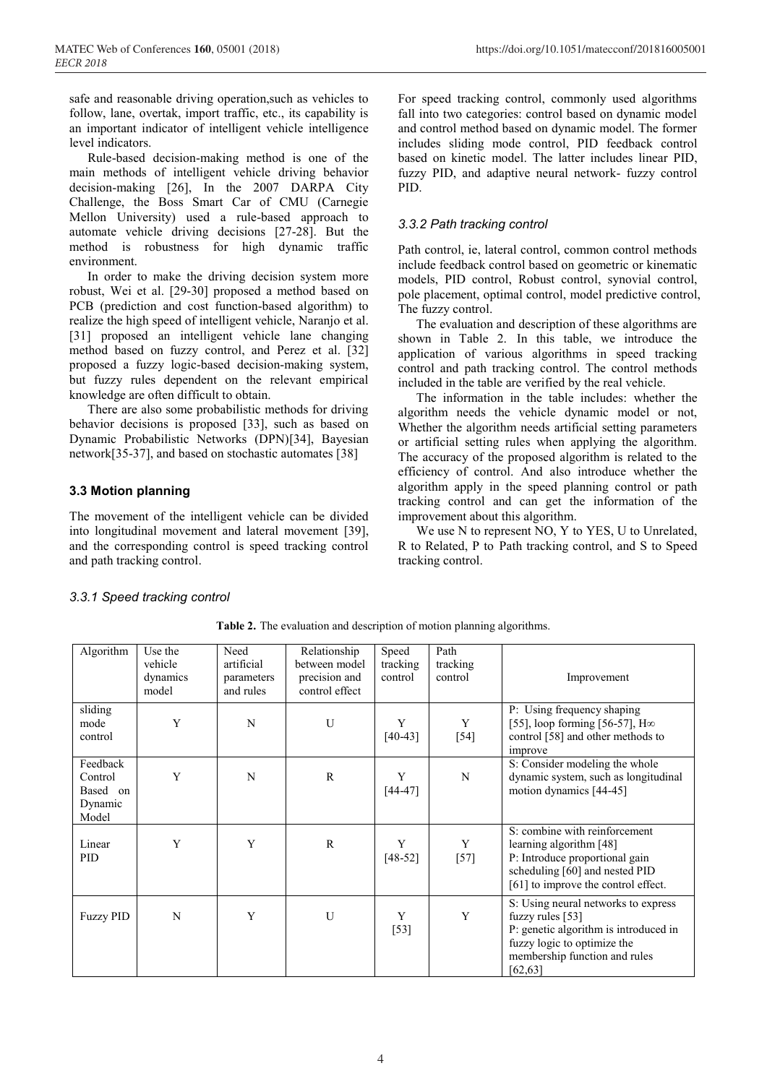safe and reasonable driving operation,such as vehicles to follow, lane, overtak, import traffic, etc., its capability is an important indicator of intelligent vehicle intelligence level indicators.

Rule-based decision-making method is one of the main methods of intelligent vehicle driving behavior decision-making [26], In the 2007 DARPA City Challenge, the Boss Smart Car of CMU (Carnegie Mellon University) used a rule-based approach to automate vehicle driving decisions [27-28]. But the method is robustness for high dynamic traffic environment.

In order to make the driving decision system more robust, Wei et al. [29-30] proposed a method based on PCB (prediction and cost function-based algorithm) to realize the high speed of intelligent vehicle, Naranjo et al. [31] proposed an intelligent vehicle lane changing method based on fuzzy control, and Perez et al. [32] proposed a fuzzy logic-based decision-making system, but fuzzy rules dependent on the relevant empirical knowledge are often difficult to obtain.

There are also some probabilistic methods for driving behavior decisions is proposed [33], such as based on Dynamic Probabilistic Networks (DPN)[34], Bayesian network[35-37], and based on stochastic automates [38]

## **3.3 Motion planning**

The movement of the intelligent vehicle can be divided into longitudinal movement and lateral movement [39], and the corresponding control is speed tracking control and path tracking control.

For speed tracking control, commonly used algorithms fall into two categories: control based on dynamic model and control method based on dynamic model. The former includes sliding mode control, PID feedback control based on kinetic model. The latter includes linear PID, fuzzy PID, and adaptive neural network- fuzzy control PID.

## *3.3.2 Path tracking control*

Path control, ie, lateral control, common control methods include feedback control based on geometric or kinematic models, PID control, Robust control, synovial control, pole placement, optimal control, model predictive control, The fuzzy control.

The evaluation and description of these algorithms are shown in Table 2. In this table, we introduce the application of various algorithms in speed tracking control and path tracking control. The control methods included in the table are verified by the real vehicle.

The information in the table includes: whether the algorithm needs the vehicle dynamic model or not, Whether the algorithm needs artificial setting parameters or artificial setting rules when applying the algorithm. The accuracy of the proposed algorithm is related to the efficiency of control. And also introduce whether the algorithm apply in the speed planning control or path tracking control and can get the information of the improvement about this algorithm.

We use N to represent NO, Y to YES, U to Unrelated, R to Related, P to Path tracking control, and S to Speed tracking control.

## *3.3.1 Speed tracking control*

| Algorithm                                           | Use the<br>vehicle<br>dynamics<br>model | Need<br>artificial<br>parameters<br>and rules | Relationship<br>between model<br>precision and<br>control effect | Speed<br>tracking<br>control | Path<br>tracking<br>control | Improvement                                                                                                                                                                    |
|-----------------------------------------------------|-----------------------------------------|-----------------------------------------------|------------------------------------------------------------------|------------------------------|-----------------------------|--------------------------------------------------------------------------------------------------------------------------------------------------------------------------------|
| sliding<br>mode<br>control                          | Y                                       | N                                             | U                                                                | Y<br>$[40-43]$               | Y<br>$[54]$                 | P: Using frequency shaping<br>[55], loop forming [56-57], $H\infty$<br>control [58] and other methods to<br>improve                                                            |
| Feedback<br>Control<br>Based on<br>Dynamic<br>Model | Y                                       | N                                             | $\mathbb{R}$                                                     | Y<br>$[44-47]$               | N                           | S: Consider modeling the whole<br>dynamic system, such as longitudinal<br>motion dynamics [44-45]                                                                              |
| Linear<br>PID                                       | Y                                       | Y                                             | $\mathbb{R}$                                                     | Y<br>$[48-52]$               | Y<br>$[57]$                 | S: combine with reinforcement<br>learning algorithm [48]<br>P: Introduce proportional gain<br>scheduling [60] and nested PID<br>[61] to improve the control effect.            |
| <b>Fuzzy PID</b>                                    | N                                       | Y                                             | U                                                                | Y<br>$[53]$                  | Y                           | S: Using neural networks to express<br>fuzzy rules $[53]$<br>P: genetic algorithm is introduced in<br>fuzzy logic to optimize the<br>membership function and rules<br>[62, 63] |

**Table 2.** The evaluation and description of motion planning algorithms.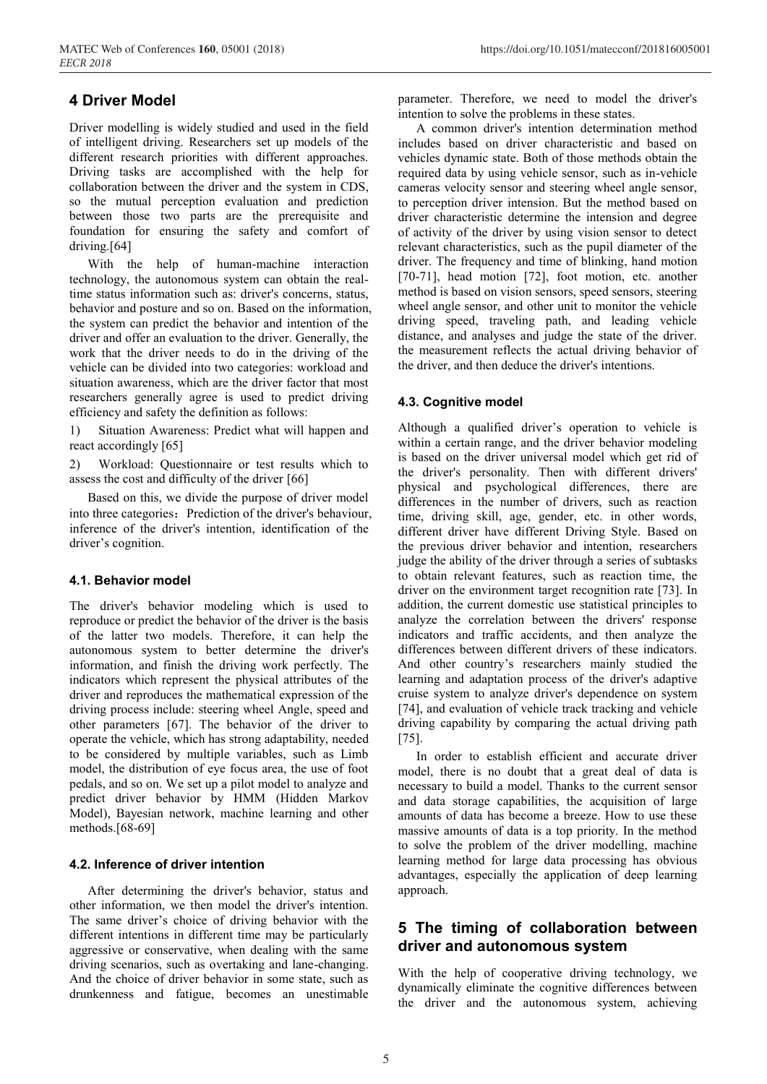## **4 Driver Model**

Driver modelling is widely studied and used in the field of intelligent driving. Researchers set up models of the different research priorities with different approaches. Driving tasks are accomplished with the help for collaboration between the driver and the system in CDS, so the mutual perception evaluation and prediction between those two parts are the prerequisite and foundation for ensuring the safety and comfort of driving.[64]

With the help of human-machine interaction technology, the autonomous system can obtain the realtime status information such as: driver's concerns, status, behavior and posture and so on. Based on the information, the system can predict the behavior and intention of the driver and offer an evaluation to the driver. Generally, the work that the driver needs to do in the driving of the vehicle can be divided into two categories: workload and situation awareness, which are the driver factor that most researchers generally agree is used to predict driving efficiency and safety the definition as follows:

1) Situation Awareness: Predict what will happen and react accordingly [65]

2) Workload: Questionnaire or test results which to assess the cost and difficulty of the driver [66]

Based on this, we divide the purpose of driver model into three categories: Prediction of the driver's behaviour, inference of the driver's intention, identification of the driver's cognition.

### **4.1. Behavior model**

The driver's behavior modeling which is used to reproduce or predict the behavior of the driver is the basis of the latter two models. Therefore, it can help the autonomous system to better determine the driver's information, and finish the driving work perfectly. The indicators which represent the physical attributes of the driver and reproduces the mathematical expression of the driving process include: steering wheel Angle, speed and other parameters [67]. The behavior of the driver to operate the vehicle, which has strong adaptability, needed to be considered by multiple variables, such as Limb model, the distribution of eye focus area, the use of foot pedals, and so on. We set up a pilot model to analyze and predict driver behavior by HMM (Hidden Markov Model), Bayesian network, machine learning and other methods.[68-69]

### **4.2. Inference of driver intention**

After determining the driver's behavior, status and other information, we then model the driver's intention. The same driver's choice of driving behavior with the different intentions in different time may be particularly aggressive or conservative, when dealing with the same driving scenarios, such as overtaking and lane-changing. And the choice of driver behavior in some state, such as drunkenness and fatigue, becomes an unestimable

parameter. Therefore, we need to model the driver's intention to solve the problems in these states.

A common driver's intention determination method includes based on driver characteristic and based on vehicles dynamic state. Both of those methods obtain the required data by using vehicle sensor, such as in-vehicle cameras velocity sensor and steering wheel angle sensor, to perception driver intension. But the method based on driver characteristic determine the intension and degree of activity of the driver by using vision sensor to detect relevant characteristics, such as the pupil diameter of the driver. The frequency and time of blinking, hand motion [70-71], head motion [72], foot motion, etc. another method is based on vision sensors, speed sensors, steering wheel angle sensor, and other unit to monitor the vehicle driving speed, traveling path, and leading vehicle distance, and analyses and judge the state of the driver. the measurement reflects the actual driving behavior of the driver, and then deduce the driver's intentions.

### **4.3. Cognitive model**

Although a qualified driver's operation to vehicle is within a certain range, and the driver behavior modeling is based on the driver universal model which get rid of the driver's personality. Then with different drivers' physical and psychological differences, there are differences in the number of drivers, such as reaction time, driving skill, age, gender, etc. in other words, different driver have different Driving Style. Based on the previous driver behavior and intention, researchers judge the ability of the driver through a series of subtasks to obtain relevant features, such as reaction time, the driver on the environment target recognition rate [73]. In addition, the current domestic use statistical principles to analyze the correlation between the drivers' response indicators and traffic accidents, and then analyze the differences between different drivers of these indicators. And other country's researchers mainly studied the learning and adaptation process of the driver's adaptive cruise system to analyze driver's dependence on system [74], and evaluation of vehicle track tracking and vehicle driving capability by comparing the actual driving path [75].

In order to establish efficient and accurate driver model, there is no doubt that a great deal of data is necessary to build a model. Thanks to the current sensor and data storage capabilities, the acquisition of large amounts of data has become a breeze. How to use these massive amounts of data is a top priority. In the method to solve the problem of the driver modelling, machine learning method for large data processing has obvious advantages, especially the application of deep learning approach.

## **5 The timing of collaboration between driver and autonomous system**

With the help of cooperative driving technology, we dynamically eliminate the cognitive differences between the driver and the autonomous system, achieving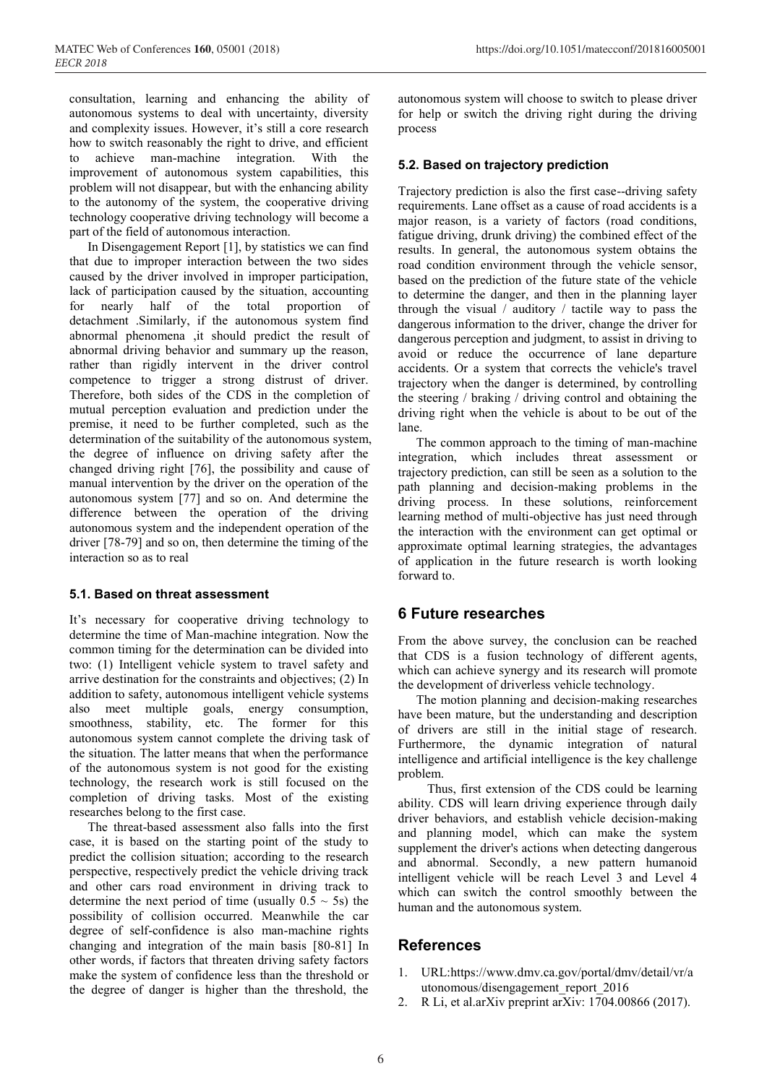consultation, learning and enhancing the ability of autonomous systems to deal with uncertainty, diversity and complexity issues. However, it's still a core research how to switch reasonably the right to drive, and efficient to achieve man-machine integration. With the improvement of autonomous system capabilities, this problem will not disappear, but with the enhancing ability to the autonomy of the system, the cooperative driving technology cooperative driving technology will become a part of the field of autonomous interaction.

In Disengagement Report [1], by statistics we can find that due to improper interaction between the two sides caused by the driver involved in improper participation, lack of participation caused by the situation, accounting for nearly half of the total proportion of detachment .Similarly, if the autonomous system find abnormal phenomena ,it should predict the result of abnormal driving behavior and summary up the reason, rather than rigidly intervent in the driver control competence to trigger a strong distrust of driver. Therefore, both sides of the CDS in the completion of mutual perception evaluation and prediction under the premise, it need to be further completed, such as the determination of the suitability of the autonomous system, the degree of influence on driving safety after the changed driving right [76], the possibility and cause of manual intervention by the driver on the operation of the autonomous system [77] and so on. And determine the difference between the operation of the driving autonomous system and the independent operation of the driver [78-79] and so on, then determine the timing of the interaction so as to real

### **5.1. Based on threat assessment**

It's necessary for cooperative driving technology to determine the time of Man-machine integration. Now the common timing for the determination can be divided into two: (1) Intelligent vehicle system to travel safety and arrive destination for the constraints and objectives; (2) In addition to safety, autonomous intelligent vehicle systems also meet multiple goals, energy consumption, smoothness, stability, etc. The former for this autonomous system cannot complete the driving task of the situation. The latter means that when the performance of the autonomous system is not good for the existing technology, the research work is still focused on the completion of driving tasks. Most of the existing researches belong to the first case.

The threat-based assessment also falls into the first case, it is based on the starting point of the study to predict the collision situation; according to the research perspective, respectively predict the vehicle driving track and other cars road environment in driving track to determine the next period of time (usually  $0.5 \sim 5$ s) the possibility of collision occurred. Meanwhile the car degree of self-confidence is also man-machine rights changing and integration of the main basis [80-81] In other words, if factors that threaten driving safety factors make the system of confidence less than the threshold or the degree of danger is higher than the threshold, the

autonomous system will choose to switch to please driver for help or switch the driving right during the driving process

### **5.2. Based on trajectory prediction**

Trajectory prediction is also the first case--driving safety requirements. Lane offset as a cause of road accidents is a major reason, is a variety of factors (road conditions, fatigue driving, drunk driving) the combined effect of the results. In general, the autonomous system obtains the road condition environment through the vehicle sensor, based on the prediction of the future state of the vehicle to determine the danger, and then in the planning layer through the visual / auditory / tactile way to pass the dangerous information to the driver, change the driver for dangerous perception and judgment, to assist in driving to avoid or reduce the occurrence of lane departure accidents. Or a system that corrects the vehicle's travel trajectory when the danger is determined, by controlling the steering / braking / driving control and obtaining the driving right when the vehicle is about to be out of the lane.

The common approach to the timing of man-machine integration, which includes threat assessment or trajectory prediction, can still be seen as a solution to the path planning and decision-making problems in the driving process. In these solutions, reinforcement learning method of multi-objective has just need through the interaction with the environment can get optimal or approximate optimal learning strategies, the advantages of application in the future research is worth looking forward to.

## **6 Future researches**

From the above survey, the conclusion can be reached that CDS is a fusion technology of different agents, which can achieve synergy and its research will promote the development of driverless vehicle technology.

The motion planning and decision-making researches have been mature, but the understanding and description of drivers are still in the initial stage of research. Furthermore, the dynamic integration of natural intelligence and artificial intelligence is the key challenge problem.

Thus, first extension of the CDS could be learning ability. CDS will learn driving experience through daily driver behaviors, and establish vehicle decision-making and planning model, which can make the system supplement the driver's actions when detecting dangerous and abnormal. Secondly, a new pattern humanoid intelligent vehicle will be reach Level 3 and Level 4 which can switch the control smoothly between the human and the autonomous system.

## **References**

- 1. URL:https://www.dmv.ca.gov/portal/dmv/detail/vr/a utonomous/disengagement\_report\_2016
- 2. R Li, et al.arXiv preprint arXiv: 1704.00866 (2017).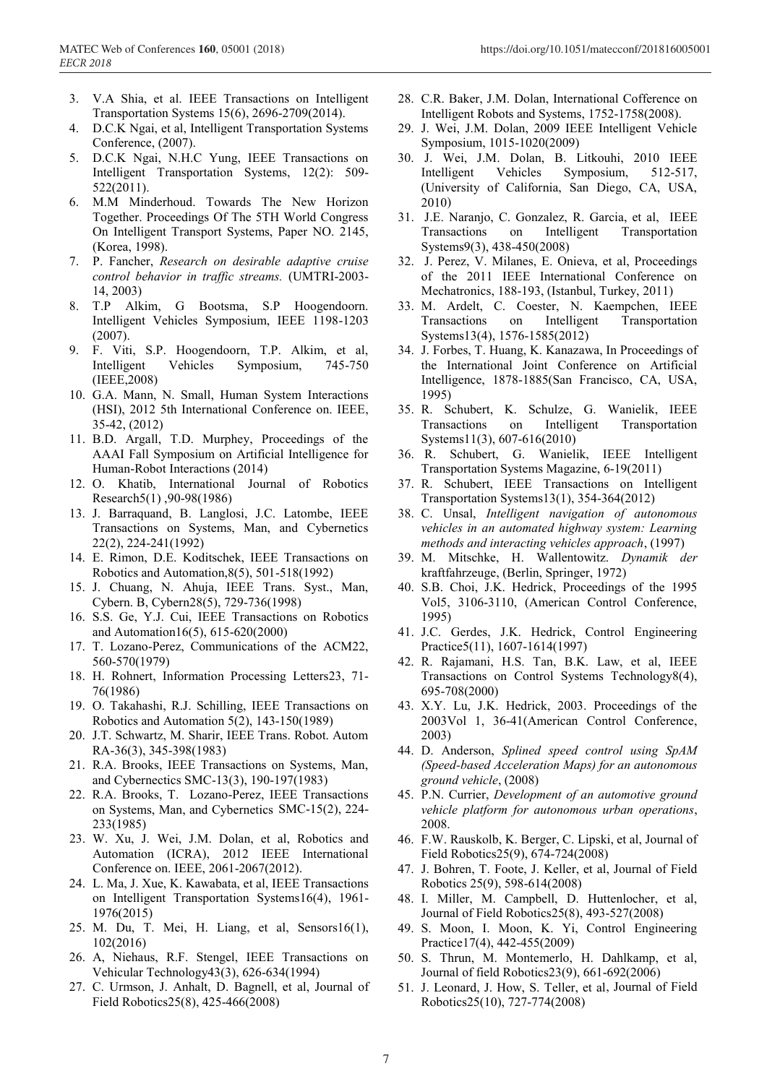- 3. V.A Shia, et al. IEEE Transactions on Intelligent Transportation Systems 15(6), 2696-2709(2014).
- 4. D.C.K Ngai, et al, Intelligent Transportation Systems Conference, (2007).
- 5. D.C.K Ngai, N.H.C Yung, IEEE Transactions on Intelligent Transportation Systems, 12(2): 509- 522(2011).
- 6. M.M Minderhoud. Towards The New Horizon Together. Proceedings Of The 5TH World Congress On Intelligent Transport Systems, Paper NO. 2145, (Korea, 1998).
- 7. P. Fancher, *Research on desirable adaptive cruise control behavior in traffic streams.* (UMTRI-2003- 14, 2003)
- 8. T.P Alkim, G Bootsma, S.P Hoogendoorn. Intelligent Vehicles Symposium, IEEE 1198-1203  $(2007)$
- 9. F. Viti, S.P. Hoogendoorn, T.P. Alkim, et al, Intelligent Vehicles Symposium, 745-750 (IEEE,2008)
- 10. G.A. Mann, N. Small, Human System Interactions (HSI), 2012 5th International Conference on. IEEE, 35-42, (2012)
- 11. B.D. Argall, T.D. Murphey, Proceedings of the AAAI Fall Symposium on Artificial Intelligence for Human-Robot Interactions (2014)
- 12. O. Khatib, International Journal of Robotics Research5(1) ,90-98(1986)
- 13. J. Barraquand, B. Langlosi, J.C. Latombe, IEEE Transactions on Systems, Man, and Cybernetics 22(2), 224-241(1992)
- 14. E. Rimon, D.E. Koditschek, IEEE Transactions on Robotics and Automation,8(5), 501-518(1992)
- 15. J. Chuang, N. Ahuja, IEEE Trans. Syst., Man, Cybern. B, Cybern28(5), 729-736(1998)
- 16. S.S. Ge, Y.J. Cui, IEEE Transactions on Robotics and Automation16(5), 615-620(2000)
- 17. T. Lozano-Perez, Communications of the ACM22, 560-570(1979)
- 18. H. Rohnert, Information Processing Letters23, 71- 76(1986)
- 19. O. Takahashi, R.J. Schilling, IEEE Transactions on Robotics and Automation 5(2), 143-150(1989)
- 20. J.T. Schwartz, M. Sharir, IEEE Trans. Robot. Autom RA-36(3), 345-398(1983)
- 21. R.A. Brooks, IEEE Transactions on Systems, Man, and Cybernectics SMC-13(3), 190-197(1983)
- 22. R.A. Brooks, T. Lozano-Perez, IEEE Transactions on Systems, Man, and Cybernetics SMC-15(2), 224- 233(1985)
- 23. W. Xu, J. Wei, J.M. Dolan, et al, Robotics and Automation (ICRA), 2012 IEEE International Conference on. IEEE, 2061-2067(2012).
- 24. L. Ma, J. Xue, K. Kawabata, et al, IEEE Transactions on Intelligent Transportation Systems16(4), 1961- 1976(2015)
- 25. M. Du, T. Mei, H. Liang, et al, Sensors16(1), 102(2016)
- 26. A, Niehaus, R.F. Stengel, IEEE Transactions on Vehicular Technology43(3), 626-634(1994)
- 27. C. Urmson, J. Anhalt, D. Bagnell, et al, Journal of Field Robotics25(8), 425-466(2008)
- 28. C.R. Baker, J.M. Dolan, International Cofference on Intelligent Robots and Systems, 1752-1758(2008).
- 29. J. Wei, J.M. Dolan, 2009 IEEE Intelligent Vehicle Symposium, 1015-1020(2009)
- 30. J. Wei, J.M. Dolan, B. Litkouhi, 2010 IEEE Intelligent Vehicles Symposium, 512-517, (University of California, San Diego, CA, USA, 2010)
- 31. J.E. Naranjo, C. Gonzalez, R. Garcia, et al, IEEE Transactions on Intelligent Transportation Systems9(3), 438-450(2008)
- 32. J. Perez, V. Milanes, E. Onieva, et al, Proceedings of the 2011 IEEE International Conference on Mechatronics, 188-193, (Istanbul, Turkey, 2011)
- 33. M. Ardelt, C. Coester, N. Kaempchen, IEEE Transactions on Intelligent Transportation Systems13(4), 1576-1585(2012)
- 34. J. Forbes, T. Huang, K. Kanazawa, In Proceedings of the International Joint Conference on Artificial Intelligence, 1878-1885(San Francisco, CA, USA, 1995)
- 35. R. Schubert, K. Schulze, G. Wanielik, IEEE Transactions on Intelligent Transportation Systems11(3), 607-616(2010)
- 36. R. Schubert, G. Wanielik, IEEE Intelligent Transportation Systems Magazine, 6-19(2011)
- 37. R. Schubert, IEEE Transactions on Intelligent Transportation Systems13(1), 354-364(2012)
- 38. C. Unsal, *Intelligent navigation of autonomous vehicles in an automated highway system: Learning methods and interacting vehicles approach*, (1997)
- 39. M. Mitschke, H. Wallentowitz. *Dynamik der*  kraftfahrzeuge, (Berlin, Springer, 1972)
- 40. S.B. Choi, J.K. Hedrick, Proceedings of the 1995 Vol5, 3106-3110, (American Control Conference, 1995)
- 41. J.C. Gerdes, J.K. Hedrick, Control Engineering Practice5(11), 1607-1614(1997)
- 42. R. Rajamani, H.S. Tan, B.K. Law, et al, IEEE Transactions on Control Systems Technology8(4), 695-708(2000)
- 43. X.Y. Lu, J.K. Hedrick, 2003. Proceedings of the 2003Vol 1, 36-41(American Control Conference, 2003)
- 44. D. Anderson, *Splined speed control using SpAM (Speed-based Acceleration Maps) for an autonomous ground vehicle*, (2008)
- 45. P.N. Currier, *Development of an automotive ground vehicle platform for autonomous urban operations*, 2008.
- 46. F.W. Rauskolb, K. Berger, C. Lipski, et al, Journal of Field Robotics25(9), 674-724(2008)
- 47. J. Bohren, T. Foote, J. Keller, et al, Journal of Field Robotics 25(9), 598-614(2008)
- 48. I. Miller, M. Campbell, D. Huttenlocher, et al, Journal of Field Robotics25(8), 493-527(2008)
- 49. S. Moon, I. Moon, K. Yi, Control Engineering Practice17(4), 442-455(2009)
- 50. S. Thrun, M. Montemerlo, H. Dahlkamp, et al, Journal of field Robotics23(9), 661-692(2006)
- 51. J. Leonard, J. How, S. Teller, et al, Journal of Field Robotics25(10), 727-774(2008)